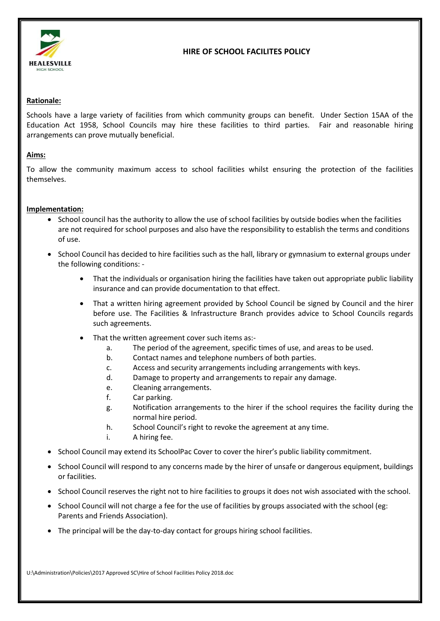

# **HIRE OF SCHOOL FACILITES POLICY**

### **Rationale:**

Schools have a large variety of facilities from which community groups can benefit. Under Section 15AA of the Education Act 1958, School Councils may hire these facilities to third parties. Fair and reasonable hiring arrangements can prove mutually beneficial.

#### **Aims:**

To allow the community maximum access to school facilities whilst ensuring the protection of the facilities themselves.

### **Implementation:**

- School council has the authority to allow the use of school facilities by outside bodies when the facilities are not required for school purposes and also have the responsibility to establish the terms and conditions of use.
- School Council has decided to hire facilities such as the hall, library or gymnasium to external groups under the following conditions: -
	- That the individuals or organisation hiring the facilities have taken out appropriate public liability insurance and can provide documentation to that effect.
	- That a written hiring agreement provided by School Council be signed by Council and the hirer before use. The Facilities & Infrastructure Branch provides advice to School Councils regards such agreements.
	- That the written agreement cover such items as:
		- a. The period of the agreement, specific times of use, and areas to be used.
		- b. Contact names and telephone numbers of both parties.
		- c. Access and security arrangements including arrangements with keys.
		- d. Damage to property and arrangements to repair any damage.
		- e. Cleaning arrangements.
		- f. Car parking.
		- g. Notification arrangements to the hirer if the school requires the facility during the normal hire period.
		- h. School Council's right to revoke the agreement at any time.
		- i. A hiring fee.
- School Council may extend its SchoolPac Cover to cover the hirer's public liability commitment.
- School Council will respond to any concerns made by the hirer of unsafe or dangerous equipment, buildings or facilities.
- School Council reserves the right not to hire facilities to groups it does not wish associated with the school.
- School Council will not charge a fee for the use of facilities by groups associated with the school (eg: Parents and Friends Association).
- The principal will be the day-to-day contact for groups hiring school facilities.

U:\Administration\Policies\2017 Approved SC\Hire of School Facilities Policy 2018.doc